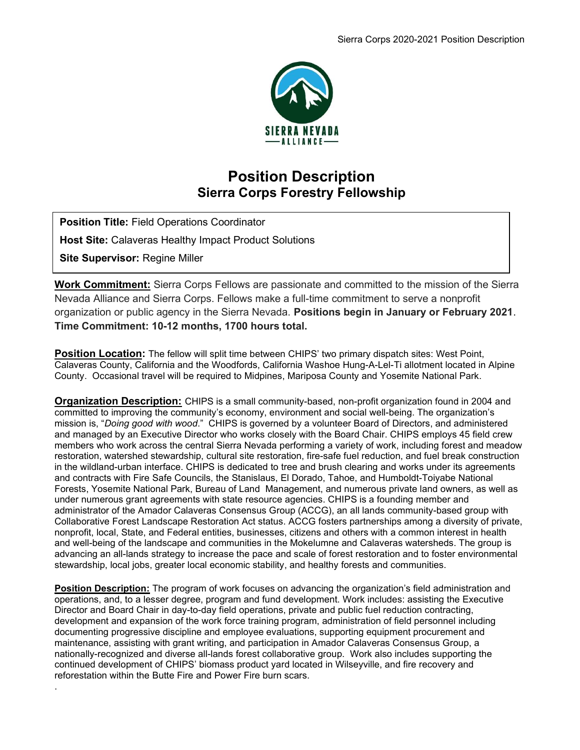

## Position Description Sierra Corps Forestry Fellowship

Position Title: Field Operations Coordinator **Host Site: Calaveras Healthy Impact Product Solutions** Site Supervisor: Regine Miller

.

Work Commitment: Sierra Corps Fellows are passionate and committed to the mission of the Sierra Nevada Alliance and Sierra Corps. Fellows make a full-time commitment to serve a nonprofit organization or public agency in the Sierra Nevada. Positions begin in January or February 2021. Time Commitment: 10-12 months, 1700 hours total.

**Position Location:** The fellow will split time between CHIPS' two primary dispatch sites: West Point, Calaveras County, California and the Woodfords, California Washoe Hung-A-Lel-Ti allotment located in Alpine County. Occasional travel will be required to Midpines, Mariposa County and Yosemite National Park.

**Organization Description:** CHIPS is a small community-based, non-profit organization found in 2004 and committed to improving the community's economy, environment and social well-being. The organization's mission is, "Doing good with wood." CHIPS is governed by a volunteer Board of Directors, and administered and managed by an Executive Director who works closely with the Board Chair. CHIPS employs 45 field crew members who work across the central Sierra Nevada performing a variety of work, including forest and meadow restoration, watershed stewardship, cultural site restoration, fire-safe fuel reduction, and fuel break construction in the wildland-urban interface. CHIPS is dedicated to tree and brush clearing and works under its agreements and contracts with Fire Safe Councils, the Stanislaus, El Dorado, Tahoe, and Humboldt-Toiyabe National Forests, Yosemite National Park, Bureau of Land Management, and numerous private land owners, as well as under numerous grant agreements with state resource agencies. CHIPS is a founding member and administrator of the Amador Calaveras Consensus Group (ACCG), an all lands community-based group with Collaborative Forest Landscape Restoration Act status. ACCG fosters partnerships among a diversity of private, nonprofit, local, State, and Federal entities, businesses, citizens and others with a common interest in health and well-being of the landscape and communities in the Mokelumne and Calaveras watersheds. The group is advancing an all-lands strategy to increase the pace and scale of forest restoration and to foster environmental stewardship, local jobs, greater local economic stability, and healthy forests and communities.

Position Description: The program of work focuses on advancing the organization's field administration and operations, and, to a lesser degree, program and fund development. Work includes: assisting the Executive Director and Board Chair in day-to-day field operations, private and public fuel reduction contracting, development and expansion of the work force training program, administration of field personnel including documenting progressive discipline and employee evaluations, supporting equipment procurement and maintenance, assisting with grant writing, and participation in Amador Calaveras Consensus Group, a nationally-recognized and diverse all-lands forest collaborative group. Work also includes supporting the continued development of CHIPS' biomass product yard located in Wilseyville, and fire recovery and reforestation within the Butte Fire and Power Fire burn scars.